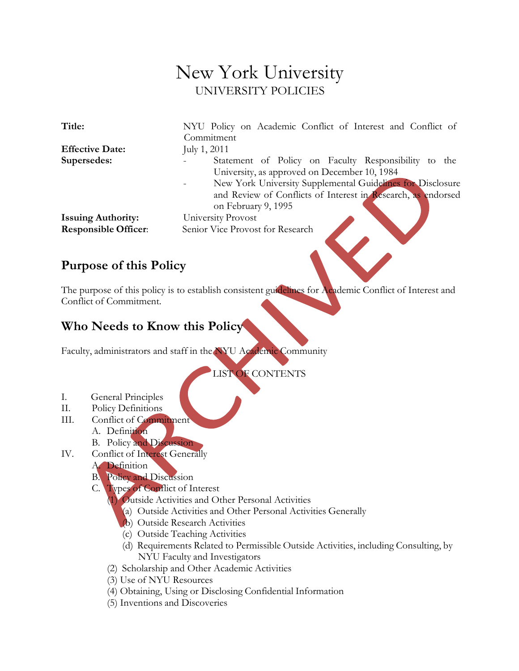# New York University UNIVERSITY POLICIES

| Title:                      | NYU Policy on Academic Conflict of Interest and Conflict of                                          |
|-----------------------------|------------------------------------------------------------------------------------------------------|
|                             | Commitment                                                                                           |
| <b>Effective Date:</b>      | July 1, 2011                                                                                         |
| Supersedes:                 | Statement of Policy on Faculty Responsibility to the<br>University, as approved on December 10, 1984 |
|                             | New York University Supplemental Guidelines for Disclosure                                           |
|                             | and Review of Conflicts of Interest in Research, as endorsed<br>on February 9, 1995                  |
| <b>Issuing Authority:</b>   | University Provost                                                                                   |
| <b>Responsible Officer:</b> | Senior Vice Provost for Research                                                                     |

## **Purpose of this Policy**

The purpose of this policy is to establish consistent guidelines for Academic Conflict of Interest and Conflict of Commitment.

## **Who Needs to Know this Policy**

Faculty, administrators and staff in the NYU Academic Community

LIST OF CONTENTS

- I. General Principles
- II. Policy Definitions
- III. Conflict of Commitment
	- A. Definition
	- B. Policy and Discussion
- IV. Conflict of Interest Generally
	- A. Definition
	- B. Policy and Discussion
	- C. Types of Conflict of Interest
		- (1) Outside Activities and Other Personal Activities
			- (a) Outside Activities and Other Personal Activities Generally
			- (b) Outside Research Activities
			- (c) Outside Teaching Activities
			- (d) Requirements Related to Permissible Outside Activities, including Consulting, by NYU Faculty and Investigators
		- (2) Scholarship and Other Academic Activities
		- (3) Use of NYU Resources
		- (4) Obtaining, Using or Disclosing Confidential Information
		- (5) Inventions and Discoveries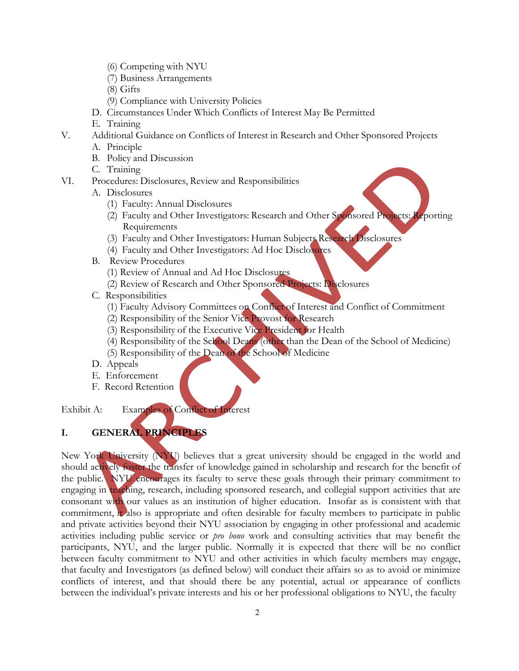- (6) Competing with NYU
- (7) Business Arrangements
- (8) Gifts
- (9) Compliance with University Policies
- D. Circumstances Under Which Conflicts of Interest May Be Permitted
- E. Training
- V. Additional Guidance on Conflicts of Interest in Research and Other Sponsored Projects
	- A. Principle
	- B. Policy and Discussion
	- C. Training
- VI. Procedures: Disclosures, Review and Responsibilities
	- A. Disclosures
		- (1) Faculty: Annual Disclosures
		- (2) Faculty and Other Investigators: Research and Other Sponsored Projects: Reporting Requirements
		- (3) Faculty and Other Investigators: Human Subjects Research Disclosures
		- (4) Faculty and Other Investigators: Ad Hoc Disclosures
	- B. Review Procedures
		- (1) Review of Annual and Ad Hoc Disclosures
		- (2) Review of Research and Other Sponsored Projects: Disclosures
	- C. Responsibilities
		- (1) Faculty Advisory Committees on Conflict of Interest and Conflict of Commitment
		- (2) Responsibility of the Senior Vice Provost for Research
		- (3) Responsibility of the Executive Vice President for Health
		- (4) Responsibility of the School Deans (other than the Dean of the School of Medicine)
		- (5) Responsibility of the Dean of the School of Medicine
	- D. Appeals
	- E. Enforcement
	- F. Record Retention

Exhibit A: Examples of Conflict of Interest

## **I. GENERAL PRINCIPLES**

New York University (NYU) believes that a great university should be engaged in the world and should actively foster the transfer of knowledge gained in scholarship and research for the benefit of the public. NYU encourages its faculty to serve these goals through their primary commitment to engaging in teaching, research, including sponsored research, and collegial support activities that are consonant with our values as an institution of higher education. Insofar as is consistent with that commitment, it also is appropriate and often desirable for faculty members to participate in public and private activities beyond their NYU association by engaging in other professional and academic activities including public service or *pro bono* work and consulting activities that may benefit the participants, NYU, and the larger public. Normally it is expected that there will be no conflict between faculty commitment to NYU and other activities in which faculty members may engage, that faculty and Investigators (as defined below) will conduct their affairs so as to avoid or minimize conflicts of interest, and that should there be any potential, actual or appearance of conflicts between the individual's private interests and his or her professional obligations to NYU, the faculty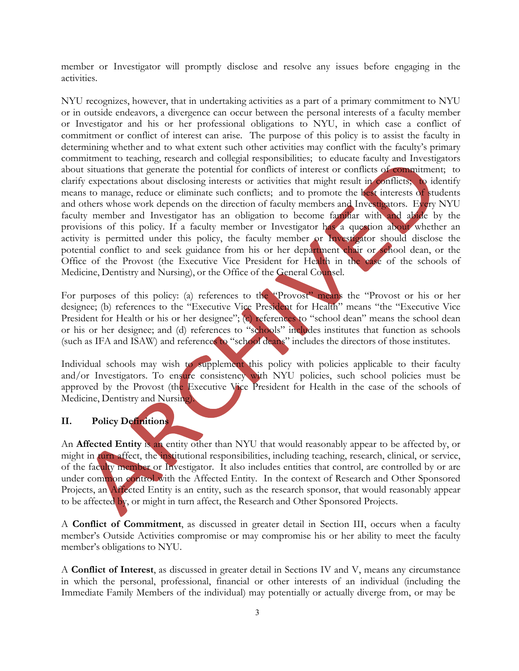member or Investigator will promptly disclose and resolve any issues before engaging in the activities.

NYU recognizes, however, that in undertaking activities as a part of a primary commitment to NYU or in outside endeavors, a divergence can occur between the personal interests of a faculty member or Investigator and his or her professional obligations to NYU, in which case a conflict of commitment or conflict of interest can arise. The purpose of this policy is to assist the faculty in determining whether and to what extent such other activities may conflict with the faculty's primary commitment to teaching, research and collegial responsibilities; to educate faculty and Investigators about situations that generate the potential for conflicts of interest or conflicts of commitment; to clarify expectations about disclosing interests or activities that might result in conflicts; to identify means to manage, reduce or eliminate such conflicts; and to promote the best interests of students and others whose work depends on the direction of faculty members and Investigators. Every NYU faculty member and Investigator has an obligation to become familiar with and abide by the provisions of this policy. If a faculty member or Investigator has a question about whether an activity is permitted under this policy, the faculty member or Investigator should disclose the potential conflict to and seek guidance from his or her department chair or school dean, or the Office of the Provost (the Executive Vice President for Health in the case of the schools of Medicine, Dentistry and Nursing), or the Office of the General Counsel.

For purposes of this policy: (a) references to the "Provost" means the "Provost or his or her designee; (b) references to the "Executive Vice President for Health" means "the "Executive Vice President for Health or his or her designee"; (c) references to "school dean" means the school dean or his or her designee; and (d) references to "schools" includes institutes that function as schools (such as IFA and ISAW) and references to "school deans" includes the directors of those institutes.

Individual schools may wish to supplement this policy with policies applicable to their faculty and/or Investigators. To ensure consistency with NYU policies, such school policies must be approved by the Provost (the Executive Vice President for Health in the case of the schools of Medicine, Dentistry and Nursing).

## **II. Policy Definitions**

An **Affected Entity** is an entity other than NYU that would reasonably appear to be affected by, or might in turn affect, the institutional responsibilities, including teaching, research, clinical, or service, of the faculty member or Investigator. It also includes entities that control, are controlled by or are under common control with the Affected Entity. In the context of Research and Other Sponsored Projects, an Affected Entity is an entity, such as the research sponsor, that would reasonably appear to be affected by, or might in turn affect, the Research and Other Sponsored Projects.

A **Conflict of Commitment**, as discussed in greater detail in Section III, occurs when a faculty member's Outside Activities compromise or may compromise his or her ability to meet the faculty member's obligations to NYU.

A **Conflict of Interest**, as discussed in greater detail in Sections IV and V, means any circumstance in which the personal, professional, financial or other interests of an individual (including the Immediate Family Members of the individual) may potentially or actually diverge from, or may be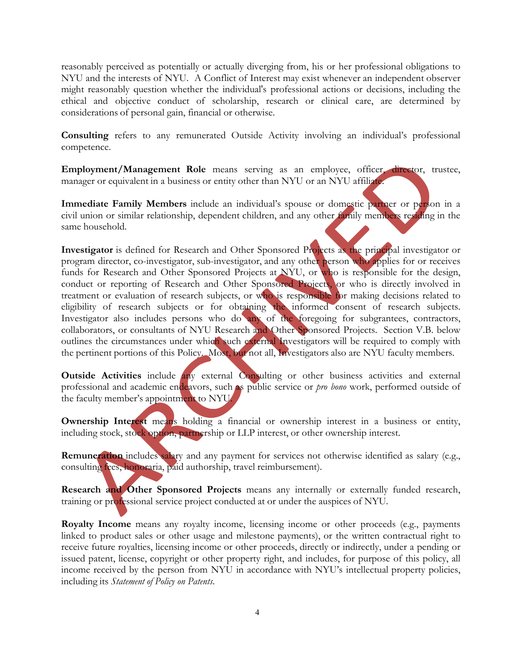reasonably perceived as potentially or actually diverging from, his or her professional obligations to NYU and the interests of NYU. A Conflict of Interest may exist whenever an independent observer might reasonably question whether the individual's professional actions or decisions, including the ethical and objective conduct of scholarship, research or clinical care, are determined by considerations of personal gain, financial or otherwise.

**Consulting** refers to any remunerated Outside Activity involving an individual's professional competence.

**Employment/Management Role** means serving as an employee, officer, director, trustee, manager or equivalent in a business or entity other than NYU or an NYU affiliate.

**Immediate Family Members** include an individual's spouse or domestic partner or person in a civil union or similar relationship, dependent children, and any other family members residing in the same household.

**Investigator** is defined for Research and Other Sponsored Projects as the principal investigator or program director, co-investigator, sub-investigator, and any other person who applies for or receives funds for Research and Other Sponsored Projects at NYU, or who is responsible for the design, conduct or reporting of Research and Other Sponsored Projects, or who is directly involved in treatment or evaluation of research subjects, or who is responsible for making decisions related to eligibility of research subjects or for obtaining the informed consent of research subjects. Investigator also includes persons who do any of the foregoing for subgrantees, contractors, collaborators, or consultants of NYU Research and Other Sponsored Projects. Section V.B. below outlines the circumstances under which such external Investigators will be required to comply with the pertinent portions of this Policy. Most, but not all, Investigators also are NYU faculty members.

**Outside Activities** include any external Consulting or other business activities and external professional and academic endeavors, such as public service or *pro bono* work, performed outside of the faculty member's appointment to NYU.

**Ownership Interest** means holding a financial or ownership interest in a business or entity, including stock, stock option, partnership or LLP interest, or other ownership interest.

**Remuneration** includes salary and any payment for services not otherwise identified as salary (e.g., consulting fees, honoraria, paid authorship, travel reimbursement).

**Research and Other Sponsored Projects** means any internally or externally funded research, training or professional service project conducted at or under the auspices of NYU.

**Royalty Income** means any royalty income, licensing income or other proceeds (e.g., payments linked to product sales or other usage and milestone payments), or the written contractual right to receive future royalties, licensing income or other proceeds, directly or indirectly, under a pending or issued patent, license, copyright or other property right, and includes, for purpose of this policy, all income received by the person from NYU in accordance with NYU's intellectual property policies, including its *Statement of Policy on Patents*.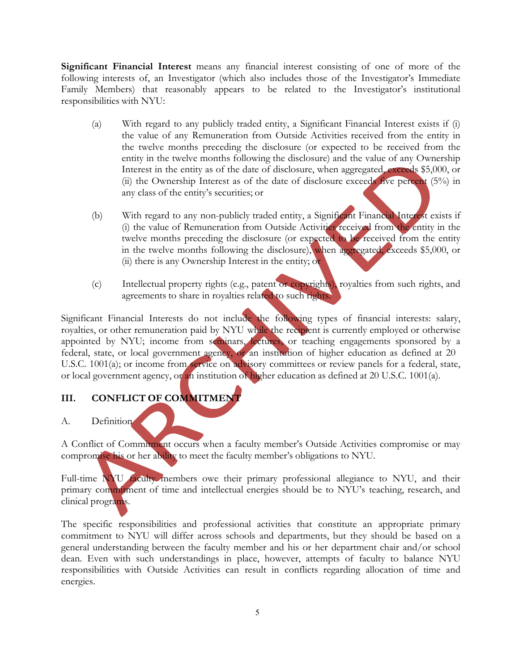**Significant Financial Interest** means any financial interest consisting of one of more of the following interests of, an Investigator (which also includes those of the Investigator's Immediate Family Members) that reasonably appears to be related to the Investigator's institutional responsibilities with NYU:

- (a) With regard to any publicly traded entity, a Significant Financial Interest exists if (i) the value of any Remuneration from Outside Activities received from the entity in the twelve months preceding the disclosure (or expected to be received from the entity in the twelve months following the disclosure) and the value of any Ownership Interest in the entity as of the date of disclosure, when aggregated, exceeds \$5,000, or (ii) the Ownership Interest as of the date of disclosure exceeds five percent (5%) in any class of the entity's securities; or
- (b) With regard to any non-publicly traded entity, a Significant Financial Interest exists if (i) the value of Remuneration from Outside Activities received from the entity in the twelve months preceding the disclosure (or expected to be received from the entity in the twelve months following the disclosure), when aggregated, exceeds \$5,000, or (ii) there is any Ownership Interest in the entity; or
- (c) Intellectual property rights (e.g., patent or copyrights), royalties from such rights, and agreements to share in royalties related to such rights.

Significant Financial Interests do not include the following types of financial interests: salary, royalties, or other remuneration paid by NYU while the recipient is currently employed or otherwise appointed by NYU; income from seminars, lectures, or teaching engagements sponsored by a federal, state, or local government agency, or an institution of higher education as defined at 20 U.S.C. 1001(a); or income from service on advisory committees or review panels for a federal, state, or local government agency, or an institution of higher education as defined at 20 U.S.C. 1001(a).

## **III. CONFLICT OF COMMITMENT**

## A. Definition

A Conflict of Commitment occurs when a faculty member's Outside Activities compromise or may compromise his or her ability to meet the faculty member's obligations to NYU.

Full-time NYU faculty members owe their primary professional allegiance to NYU, and their primary commitment of time and intellectual energies should be to NYU's teaching, research, and clinical programs.

The specific responsibilities and professional activities that constitute an appropriate primary commitment to NYU will differ across schools and departments, but they should be based on a general understanding between the faculty member and his or her department chair and/or school dean. Even with such understandings in place, however, attempts of faculty to balance NYU responsibilities with Outside Activities can result in conflicts regarding allocation of time and energies.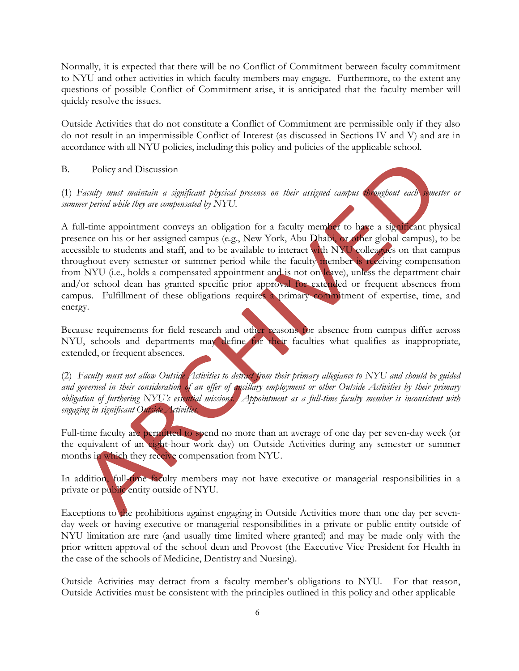Normally, it is expected that there will be no Conflict of Commitment between faculty commitment to NYU and other activities in which faculty members may engage. Furthermore, to the extent any questions of possible Conflict of Commitment arise, it is anticipated that the faculty member will quickly resolve the issues.

Outside Activities that do not constitute a Conflict of Commitment are permissible only if they also do not result in an impermissible Conflict of Interest (as discussed in Sections IV and V) and are in accordance with all NYU policies, including this policy and policies of the applicable school.

B. Policy and Discussion

(1) *Faculty must maintain a significant physical presence on their assigned campus throughout each semester or summer period while they are compensated by NYU.*

A full-time appointment conveys an obligation for a faculty member to have a significant physical presence on his or her assigned campus (e.g., New York, Abu Dhabi, or other global campus), to be accessible to students and staff, and to be available to interact with NYU colleagues on that campus throughout every semester or summer period while the faculty member is receiving compensation from NYU (i.e., holds a compensated appointment and is not on leave), unless the department chair and/or school dean has granted specific prior approval for extended or frequent absences from campus. Fulfillment of these obligations requires a primary commitment of expertise, time, and energy.

Because requirements for field research and other reasons for absence from campus differ across NYU, schools and departments may define for their faculties what qualifies as inappropriate, extended, or frequent absences.

(2) Faculty must not allow Outside Activities to detract from their primary allegiance to NYU and should be guided and governed in their consideration of an offer of ancillary employment or other Outside Activities by their primary *obligation of furthering NYU's essential missions. Appointment as a full-time faculty member is inconsistent with engaging in significant Outside Activities*.

Full-time faculty are permitted to spend no more than an average of one day per seven-day week (or the equivalent of an eight-hour work day) on Outside Activities during any semester or summer months in which they receive compensation from NYU.

In addition, full-time faculty members may not have executive or managerial responsibilities in a private or public entity outside of NYU.

Exceptions to the prohibitions against engaging in Outside Activities more than one day per sevenday week or having executive or managerial responsibilities in a private or public entity outside of NYU limitation are rare (and usually time limited where granted) and may be made only with the prior written approval of the school dean and Provost (the Executive Vice President for Health in the case of the schools of Medicine, Dentistry and Nursing).

Outside Activities may detract from a faculty member's obligations to NYU. For that reason, Outside Activities must be consistent with the principles outlined in this policy and other applicable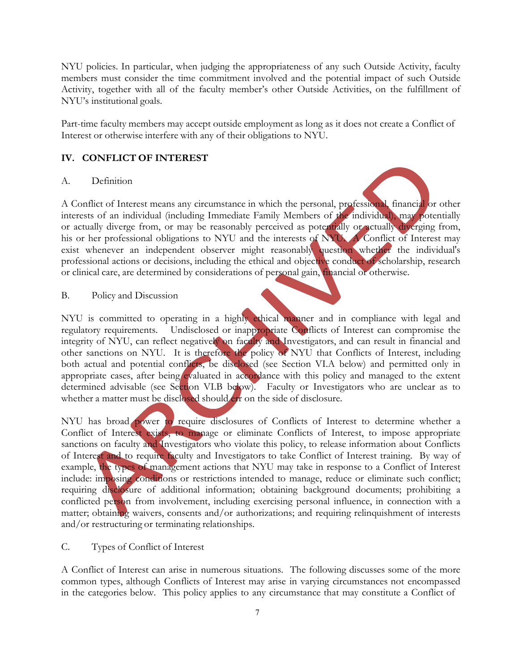NYU policies. In particular, when judging the appropriateness of any such Outside Activity, faculty members must consider the time commitment involved and the potential impact of such Outside Activity, together with all of the faculty member's other Outside Activities, on the fulfillment of NYU's institutional goals.

Part-time faculty members may accept outside employment as long as it does not create a Conflict of Interest or otherwise interfere with any of their obligations to NYU.

## **IV. CONFLICT OF INTEREST**

#### A. Definition

A Conflict of Interest means any circumstance in which the personal, professional, financial or other interests of an individual (including Immediate Family Members of the individual), may potentially or actually diverge from, or may be reasonably perceived as potentially or actually diverging from, his or her professional obligations to NYU and the interests of NYU. A Conflict of Interest may exist whenever an independent observer might reasonably question whether the individual's professional actions or decisions, including the ethical and objective conduct of scholarship, research or clinical care, are determined by considerations of personal gain, financial or otherwise.

B. Policy and Discussion

NYU is committed to operating in a highly ethical manner and in compliance with legal and regulatory requirements. Undisclosed or inappropriate Conflicts of Interest can compromise the integrity of NYU, can reflect negatively on faculty and Investigators, and can result in financial and other sanctions on NYU. It is therefore the policy of NYU that Conflicts of Interest, including both actual and potential conflicts, be disclosed (see Section VI.A below) and permitted only in appropriate cases, after being evaluated in accordance with this policy and managed to the extent determined advisable (see Section VI.B below). Faculty or Investigators who are unclear as to whether a matter must be disclosed should err on the side of disclosure.

NYU has broad power to require disclosures of Conflicts of Interest to determine whether a Conflict of Interest exists, to manage or eliminate Conflicts of Interest, to impose appropriate sanctions on faculty and Investigators who violate this policy, to release information about Conflicts of Interest and to require faculty and Investigators to take Conflict of Interest training. By way of example, the types of management actions that NYU may take in response to a Conflict of Interest include: imposing conditions or restrictions intended to manage, reduce or eliminate such conflict; requiring disclosure of additional information; obtaining background documents; prohibiting a conflicted person from involvement, including exercising personal influence, in connection with a matter; obtaining waivers, consents and/or authorizations; and requiring relinquishment of interests and/or restructuring or terminating relationships.

#### C. Types of Conflict of Interest

A Conflict of Interest can arise in numerous situations. The following discusses some of the more common types, although Conflicts of Interest may arise in varying circumstances not encompassed in the categories below. This policy applies to any circumstance that may constitute a Conflict of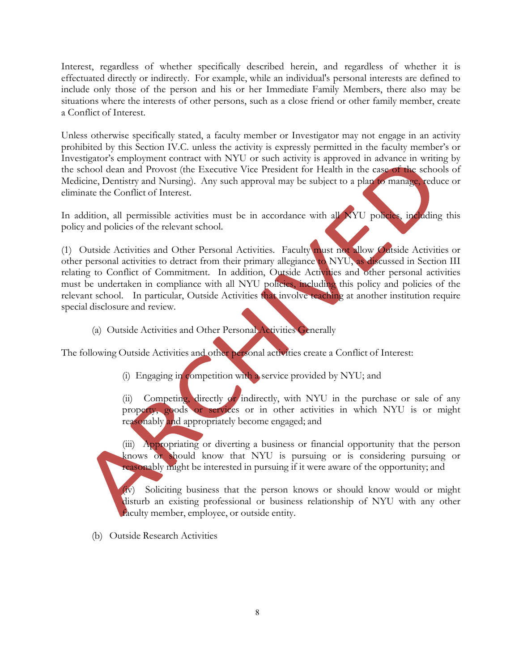Interest, regardless of whether specifically described herein, and regardless of whether it is effectuated directly or indirectly. For example, while an individual's personal interests are defined to include only those of the person and his or her Immediate Family Members, there also may be situations where the interests of other persons, such as a close friend or other family member, create a Conflict of Interest.

Unless otherwise specifically stated, a faculty member or Investigator may not engage in an activity prohibited by this Section IV.C. unless the activity is expressly permitted in the faculty member's or Investigator's employment contract with NYU or such activity is approved in advance in writing by the school dean and Provost (the Executive Vice President for Health in the case of the schools of Medicine, Dentistry and Nursing). Any such approval may be subject to a plan to manage, reduce or eliminate the Conflict of Interest.

In addition, all permissible activities must be in accordance with all NYU policies, including this policy and policies of the relevant school.

(1) Outside Activities and Other Personal Activities. Faculty must not allow Outside Activities or other personal activities to detract from their primary allegiance to NYU, as discussed in Section III relating to Conflict of Commitment. In addition, Outside Activities and other personal activities must be undertaken in compliance with all NYU policies, including this policy and policies of the relevant school. In particular, Outside Activities that involve teaching at another institution require special disclosure and review.

(a) Outside Activities and Other Personal Activities Generally

The following Outside Activities and other personal activities create a Conflict of Interest:

(i) Engaging in competition with a service provided by NYU; and

(ii) Competing, directly or indirectly, with NYU in the purchase or sale of any property, goods or services or in other activities in which NYU is or might reasonably and appropriately become engaged; and

(iii) Appropriating or diverting a business or financial opportunity that the person knows or should know that NYU is pursuing or is considering pursuing or reasonably might be interested in pursuing if it were aware of the opportunity; and

(iv) Soliciting business that the person knows or should know would or might disturb an existing professional or business relationship of NYU with any other faculty member, employee, or outside entity.

(b) Outside Research Activities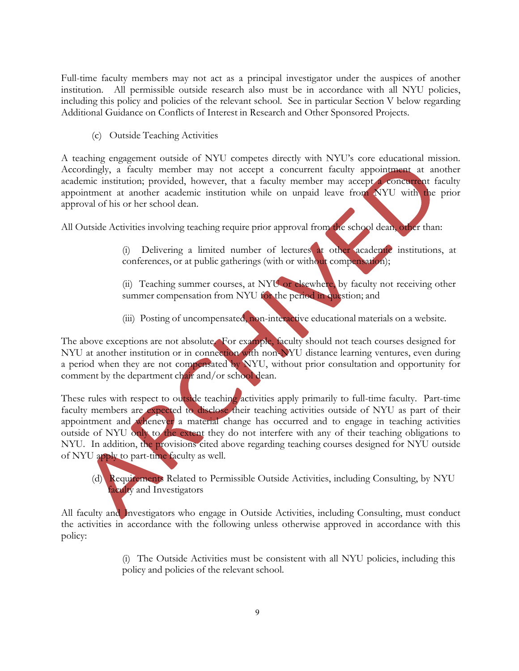Full-time faculty members may not act as a principal investigator under the auspices of another institution. All permissible outside research also must be in accordance with all NYU policies, including this policy and policies of the relevant school. See in particular Section V below regarding Additional Guidance on Conflicts of Interest in Research and Other Sponsored Projects.

(c) Outside Teaching Activities

A teaching engagement outside of NYU competes directly with NYU's core educational mission. Accordingly, a faculty member may not accept a concurrent faculty appointment at another academic institution; provided, however, that a faculty member may accept a concurrent faculty appointment at another academic institution while on unpaid leave from NYU with the prior approval of his or her school dean.

All Outside Activities involving teaching require prior approval from the school dean, other than:

(i) Delivering a limited number of lectures at other academic institutions, at conferences, or at public gatherings (with or without compensation);

(ii) Teaching summer courses, at NYU or elsewhere, by faculty not receiving other summer compensation from NYU for the period in question; and

(iii) Posting of uncompensated, non-interactive educational materials on a website.

The above exceptions are not absolute. For example, faculty should not teach courses designed for NYU at another institution or in connection with non-NYU distance learning ventures, even during a period when they are not compensated by NYU, without prior consultation and opportunity for comment by the department chair and/or school dean.

These rules with respect to outside teaching activities apply primarily to full-time faculty. Part-time faculty members are expected to disclose their teaching activities outside of NYU as part of their appointment and whenever a material change has occurred and to engage in teaching activities outside of NYU only to the extent they do not interfere with any of their teaching obligations to NYU. In addition, the provisions cited above regarding teaching courses designed for NYU outside of NYU apply to part-time faculty as well.

(d) Requirements Related to Permissible Outside Activities, including Consulting, by NYU faculty and Investigators

All faculty and Investigators who engage in Outside Activities, including Consulting, must conduct the activities in accordance with the following unless otherwise approved in accordance with this policy:

> (i) The Outside Activities must be consistent with all NYU policies, including this policy and policies of the relevant school.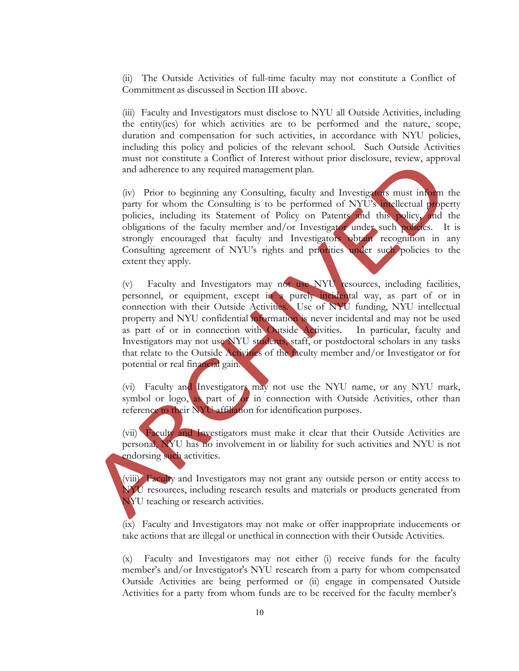(ii) The Outside Activities of full-time faculty may not constitute a Conflict of Commitment as discussed in Section III above.

(iii) Faculty and Investigators must disclose to NYU all Outside Activities, including the entity(ies) for which activities are to be performed and the nature, scope, duration and compensation for such activities, in accordance with NYU policies, including this policy and policies of the relevant school. Such Outside Activities must not constitute a Conflict of Interest without prior disclosure, review, approval and adherence to any required management plan.

(iv) Prior to beginning any Consulting, faculty and Investigators must inform the party for whom the Consulting is to be performed of NYU's intellectual property policies, including its Statement of Policy on Patents and this policy**,** and the obligations of the faculty member and/or Investigator under such policies. It is strongly encouraged that faculty and Investigators obtain recognition in any Consulting agreement of NYU's rights and priorities under such policies to the extent they apply.

(v) Faculty and Investigators may not use NYU resources, including facilities, personnel, or equipment, except in a purely incidental way, as part of or in connection with their Outside Activities. Use of NYU funding, NYU intellectual property and NYU confidential information is never incidental and may not be used as part of or in connection with Outside Activities. In particular, faculty and Investigators may not use NYU students, staff, or postdoctoral scholars in any tasks that relate to the Outside Activities of the faculty member and/or Investigator or for potential or real financial gain.

(vi) Faculty and Investigators may not use the NYU name, or any NYU mark, symbol or logo, as part of  $o<sub>r</sub>$  in connection with Outside Activities, other than reference to their NYU affiliation for identification purposes.

(vii) Faculty and Investigators must make it clear that their Outside Activities are personal, NYU has no involvement in or liability for such activities and NYU is not endorsing such activities.

(viii) Faculty and Investigators may not grant any outside person or entity access to NYU resources, including research results and materials or products generated from NYU teaching or research activities.

(ix) Faculty and Investigators may not make or offer inappropriate inducements or take actions that are illegal or unethical in connection with their Outside Activities.

(x) Faculty and Investigators may not either (i) receive funds for the faculty member's and/or Investigator's NYU research from a party for whom compensated Outside Activities are being performed or (ii) engage in compensated Outside Activities for a party from whom funds are to be received for the faculty member's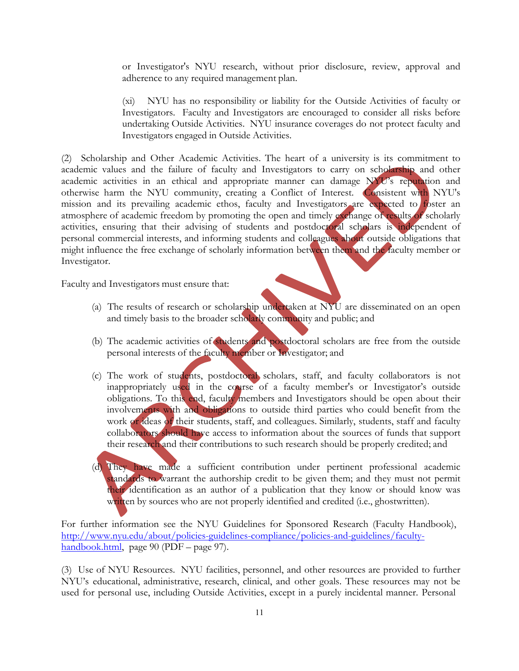or Investigator's NYU research, without prior disclosure, review, approval and adherence to any required management plan.

(xi) NYU has no responsibility or liability for the Outside Activities of faculty or Investigators. Faculty and Investigators are encouraged to consider all risks before undertaking Outside Activities. NYU insurance coverages do not protect faculty and Investigators engaged in Outside Activities.

(2) Scholarship and Other Academic Activities. The heart of a university is its commitment to academic values and the failure of faculty and Investigators to carry on scholarship and other academic activities in an ethical and appropriate manner can damage NYU's reputation and otherwise harm the NYU community, creating a Conflict of Interest. Consistent with NYU's mission and its prevailing academic ethos, faculty and Investigators are expected to foster an atmosphere of academic freedom by promoting the open and timely exchange of results of scholarly activities, ensuring that their advising of students and postdoctoral scholars is independent of personal commercial interests, and informing students and colleagues about outside obligations that might influence the free exchange of scholarly information between them and the faculty member or Investigator.

Faculty and Investigators must ensure that:

- (a) The results of research or scholarship undertaken at NYU are disseminated on an open and timely basis to the broader scholarly community and public; and
- (b) The academic activities of students and postdoctoral scholars are free from the outside personal interests of the faculty member or Investigator; and
- (c) The work of students, postdoctoral scholars, staff, and faculty collaborators is not inappropriately used in the course of a faculty member's or Investigator's outside obligations. To this end, faculty members and Investigators should be open about their involvements with and obligations to outside third parties who could benefit from the work or ideas of their students, staff, and colleagues. Similarly, students, staff and faculty collaborators should have access to information about the sources of funds that support their research and their contributions to such research should be properly credited; and
- (d) They have made a sufficient contribution under pertinent professional academic standards to warrant the authorship credit to be given them; and they must not permit their identification as an author of a publication that they know or should know was written by sources who are not properly identified and credited (i.e., ghostwritten).

For further information see the NYU Guidelines for Sponsored Research (Faculty Handbook), http://www.nyu.edu/about/policies-guidelines-compliance/policies-and-guidelines/facultyhandbook.html, page 90 (PDF – page 97).

(3) Use of NYU Resources. NYU facilities, personnel, and other resources are provided to further NYU's educational, administrative, research, clinical, and other goals. These resources may not be used for personal use, including Outside Activities, except in a purely incidental manner. Personal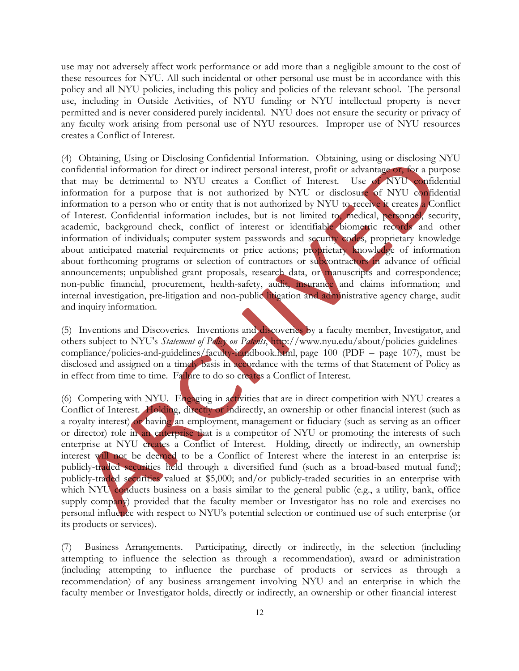use may not adversely affect work performance or add more than a negligible amount to the cost of these resources for NYU. All such incidental or other personal use must be in accordance with this policy and all NYU policies, including this policy and policies of the relevant school. The personal use, including in Outside Activities, of NYU funding or NYU intellectual property is never permitted and is never considered purely incidental. NYU does not ensure the security or privacy of any faculty work arising from personal use of NYU resources. Improper use of NYU resources creates a Conflict of Interest.

(4) Obtaining, Using or Disclosing Confidential Information. Obtaining, using or disclosing NYU confidential information for direct or indirect personal interest, profit or advantage or, for a purpose that may be detrimental to NYU creates a Conflict of Interest. Use of NYU confidential information for a purpose that is not authorized by NYU or disclosure of NYU confidential information to a person who or entity that is not authorized by NYU to receive it creates a Conflict of Interest. Confidential information includes, but is not limited to, medical, personnel, security, academic, background check, conflict of interest or identifiable biometric records and other information of individuals; computer system passwords and security codes, proprietary knowledge about anticipated material requirements or price actions; proprietary knowledge of information about forthcoming programs or selection of contractors or subcontractors in advance of official announcements; unpublished grant proposals, research data, or manuscripts and correspondence; non-public financial, procurement, health-safety, audit, insurance and claims information; and internal investigation, pre-litigation and non-public litigation and administrative agency charge, audit and inquiry information.

(5) Inventions and Discoveries*.* Inventions and discoveries by a faculty member, Investigator, and others subject to NYU's *Statement of Policy on Patents*, http://www.nyu.edu/about/policies-guidelinescompliance/policies-and-guidelines/faculty-handbook.html, page 100 (PDF – page 107), must be disclosed and assigned on a timely basis in accordance with the terms of that Statement of Policy as in effect from time to time. Failure to do so creates a Conflict of Interest.

(6) Competing with NYU. Engaging in activities that are in direct competition with NYU creates a Conflict of Interest. Holding, directly or indirectly, an ownership or other financial interest (such as a royalty interest) or having an employment, management or fiduciary (such as serving as an officer or director) role in an enterprise that is a competitor of NYU or promoting the interests of such enterprise at NYU creates a Conflict of Interest. Holding, directly or indirectly, an ownership interest will not be deemed to be a Conflict of Interest where the interest in an enterprise is: publicly-traded securities held through a diversified fund (such as a broad-based mutual fund); publicly-traded securities valued at \$5,000; and/or publicly-traded securities in an enterprise with which NYU conducts business on a basis similar to the general public (e.g., a utility, bank, office supply company) provided that the faculty member or Investigator has no role and exercises no personal influence with respect to NYU's potential selection or continued use of such enterprise (or its products or services).

(7) Business Arrangements. Participating, directly or indirectly, in the selection (including attempting to influence the selection as through a recommendation), award or administration (including attempting to influence the purchase of products or services as through a recommendation) of any business arrangement involving NYU and an enterprise in which the faculty member or Investigator holds, directly or indirectly, an ownership or other financial interest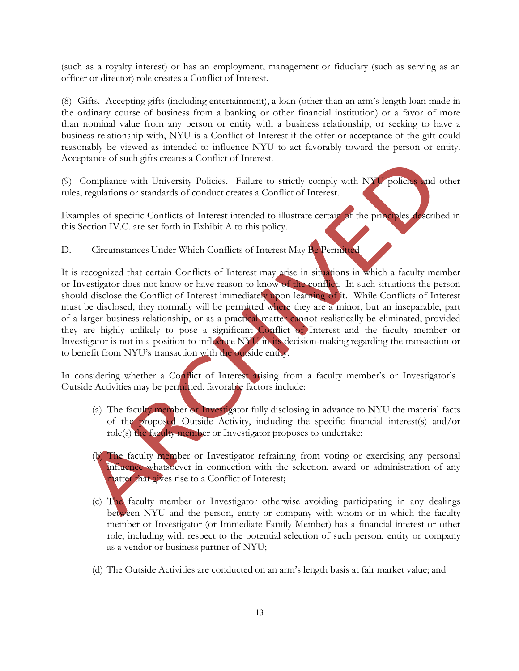(such as a royalty interest) or has an employment, management or fiduciary (such as serving as an officer or director) role creates a Conflict of Interest.

(8) Gifts. Accepting gifts (including entertainment), a loan (other than an arm's length loan made in the ordinary course of business from a banking or other financial institution) or a favor of more than nominal value from any person or entity with a business relationship, or seeking to have a business relationship with, NYU is a Conflict of Interest if the offer or acceptance of the gift could reasonably be viewed as intended to influence NYU to act favorably toward the person or entity. Acceptance of such gifts creates a Conflict of Interest.

(9) Compliance with University Policies. Failure to strictly comply with NYU policies and other rules, regulations or standards of conduct creates a Conflict of Interest.

Examples of specific Conflicts of Interest intended to illustrate certain of the principles described in this Section IV.C. are set forth in Exhibit A to this policy.

D. Circumstances Under Which Conflicts of Interest May Be Permitted

It is recognized that certain Conflicts of Interest may arise in situations in which a faculty member or Investigator does not know or have reason to know of the conflict. In such situations the person should disclose the Conflict of Interest immediately upon learning of it. While Conflicts of Interest must be disclosed, they normally will be permitted where they are a minor, but an inseparable, part of a larger business relationship, or as a practical matter cannot realistically be eliminated, provided they are highly unlikely to pose a significant Conflict of Interest and the faculty member or Investigator is not in a position to influence NYU in its decision-making regarding the transaction or to benefit from NYU's transaction with the outside entity.

In considering whether a Conflict of Interest arising from a faculty member's or Investigator's Outside Activities may be permitted, favorable factors include:

- (a) The faculty member or Investigator fully disclosing in advance to NYU the material facts of the proposed Outside Activity, including the specific financial interest(s) and/or role(s) the faculty member or Investigator proposes to undertake;
- (b) The faculty member or Investigator refraining from voting or exercising any personal influence whatsoever in connection with the selection, award or administration of any matter that gives rise to a Conflict of Interest;
- (c) The faculty member or Investigator otherwise avoiding participating in any dealings between NYU and the person, entity or company with whom or in which the faculty member or Investigator (or Immediate Family Member) has a financial interest or other role, including with respect to the potential selection of such person, entity or company as a vendor or business partner of NYU;
- (d) The Outside Activities are conducted on an arm's length basis at fair market value; and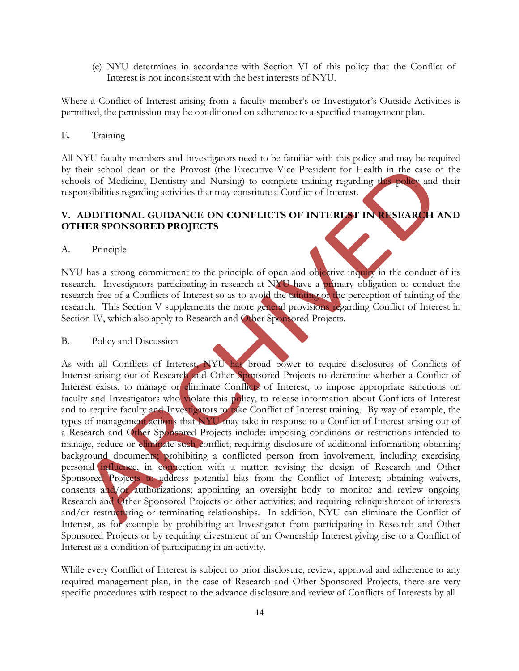(e) NYU determines in accordance with Section VI of this policy that the Conflict of Interest is not inconsistent with the best interests of NYU.

Where a Conflict of Interest arising from a faculty member's or Investigator's Outside Activities is permitted, the permission may be conditioned on adherence to a specified management plan.

#### E. Training

All NYU faculty members and Investigators need to be familiar with this policy and may be required by their school dean or the Provost (the Executive Vice President for Health in the case of the schools of Medicine, Dentistry and Nursing) to complete training regarding this policy and their responsibilities regarding activities that may constitute a Conflict of Interest.

## **V. ADDITIONAL GUIDANCE ON CONFLICTS OF INTEREST IN RESEARCH AND OTHER SPONSORED PROJECTS**

A. Principle

NYU has a strong commitment to the principle of open and objective inquiry in the conduct of its research. Investigators participating in research at NYU have a primary obligation to conduct the research free of a Conflicts of Interest so as to avoid the tainting or the perception of tainting of the research. This Section V supplements the more general provisions regarding Conflict of Interest in Section IV, which also apply to Research and Other Sponsored Projects.

#### B. Policy and Discussion

As with all Conflicts of Interest, NYU has broad power to require disclosures of Conflicts of Interest arising out of Research and Other Sponsored Projects to determine whether a Conflict of Interest exists, to manage or eliminate Conflicts of Interest, to impose appropriate sanctions on faculty and Investigators who violate this policy, to release information about Conflicts of Interest and to require faculty and Investigators to take Conflict of Interest training. By way of example, the types of management actions that NYU may take in response to a Conflict of Interest arising out of a Research and Other Sponsored Projects include: imposing conditions or restrictions intended to manage, reduce or eliminate such conflict; requiring disclosure of additional information; obtaining background documents; prohibiting a conflicted person from involvement, including exercising personal influence, in connection with a matter; revising the design of Research and Other Sponsored Projects to address potential bias from the Conflict of Interest; obtaining waivers, consents and/or authorizations; appointing an oversight body to monitor and review ongoing Research and Other Sponsored Projects or other activities; and requiring relinquishment of interests and/or restructuring or terminating relationships. In addition, NYU can eliminate the Conflict of Interest, as for example by prohibiting an Investigator from participating in Research and Other Sponsored Projects or by requiring divestment of an Ownership Interest giving rise to a Conflict of Interest as a condition of participating in an activity.

While every Conflict of Interest is subject to prior disclosure, review, approval and adherence to any required management plan, in the case of Research and Other Sponsored Projects, there are very specific procedures with respect to the advance disclosure and review of Conflicts of Interests by all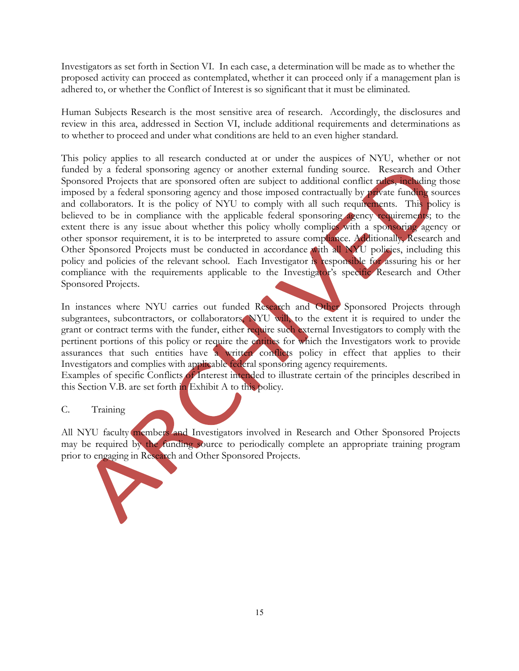Investigators as set forth in Section VI. In each case, a determination will be made as to whether the proposed activity can proceed as contemplated, whether it can proceed only if a management plan is adhered to, or whether the Conflict of Interest is so significant that it must be eliminated.

Human Subjects Research is the most sensitive area of research. Accordingly, the disclosures and review in this area, addressed in Section VI, include additional requirements and determinations as to whether to proceed and under what conditions are held to an even higher standard.

This policy applies to all research conducted at or under the auspices of NYU, whether or not funded by a federal sponsoring agency or another external funding source. Research and Other Sponsored Projects that are sponsored often are subject to additional conflict rules, including those imposed by a federal sponsoring agency and those imposed contractually by private funding sources and collaborators. It is the policy of NYU to comply with all such requirements. This policy is believed to be in compliance with the applicable federal sponsoring agency requirements; to the extent there is any issue about whether this policy wholly complies with a sponsoring agency or other sponsor requirement, it is to be interpreted to assure compliance. Additionally, Research and Other Sponsored Projects must be conducted in accordance with all NYU policies, including this policy and policies of the relevant school. Each Investigator is responsible for assuring his or her compliance with the requirements applicable to the Investigator's specific Research and Other Sponsored Projects.

In instances where NYU carries out funded Research and Other Sponsored Projects through subgrantees, subcontractors, or collaborators, NYU will, to the extent it is required to under the grant or contract terms with the funder, either require such external Investigators to comply with the pertinent portions of this policy or require the entities for which the Investigators work to provide assurances that such entities have a written conflicts policy in effect that applies to their Investigators and complies with applicable federal sponsoring agency requirements. Examples of specific Conflicts of Interest intended to illustrate certain of the principles described in this Section V.B. are set forth in Exhibit A to this policy.

#### C. Training

All NYU faculty members and Investigators involved in Research and Other Sponsored Projects may be required by the funding source to periodically complete an appropriate training program prior to engaging in Research and Other Sponsored Projects.

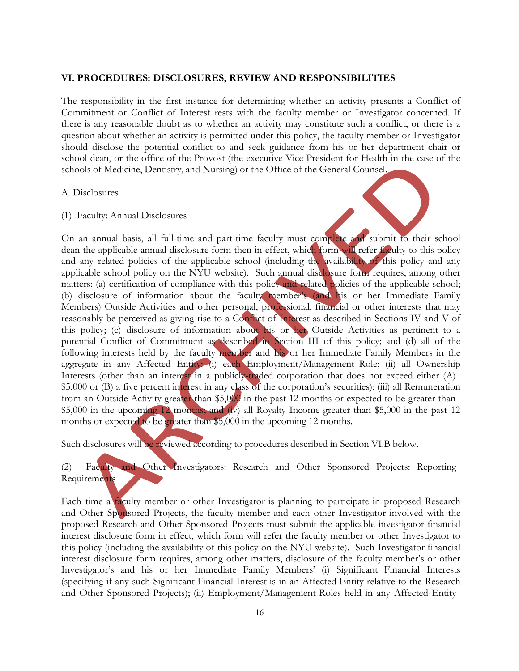#### **VI. PROCEDURES: DISCLOSURES, REVIEW AND RESPONSIBILITIES**

The responsibility in the first instance for determining whether an activity presents a Conflict of Commitment or Conflict of Interest rests with the faculty member or Investigator concerned. If there is any reasonable doubt as to whether an activity may constitute such a conflict, or there is a question about whether an activity is permitted under this policy, the faculty member or Investigator should disclose the potential conflict to and seek guidance from his or her department chair or school dean, or the office of the Provost (the executive Vice President for Health in the case of the schools of Medicine, Dentistry, and Nursing) or the Office of the General Counsel.

#### A. Disclosures

(1) Faculty: Annual Disclosures



On an annual basis, all full-time and part-time faculty must complete and submit to their school dean the applicable annual disclosure form then in effect, which form will refer faculty to this policy and any related policies of the applicable school (including the availability of this policy and any applicable school policy on the NYU website). Such annual disclosure form requires, among other matters: (a) certification of compliance with this policy and related policies of the applicable school; (b) disclosure of information about the faculty member's (and his or her Immediate Family Members) Outside Activities and other personal, professional, financial or other interests that may reasonably be perceived as giving rise to a Conflict of Interest as described in Sections IV and V of this policy; (c) disclosure of information about his or her Outside Activities as pertinent to a potential Conflict of Commitment as described in Section III of this policy; and (d) all of the following interests held by the faculty member and his or her Immediate Family Members in the aggregate in any Affected Entity: (i) each Employment/Management Role; (ii) all Ownership Interests (other than an interest in a publicly-traded corporation that does not exceed either (A) \$5,000 or (B) a five percent interest in any class of the corporation's securities); (iii) all Remuneration from an Outside Activity greater than \$5,000 in the past 12 months or expected to be greater than \$5,000 in the upcoming 12 months; and (iv) all Royalty Income greater than \$5,000 in the past 12 months or expected to be greater than \$5,000 in the upcoming 12 months.

Such disclosures will be reviewed according to procedures described in Section VI.B below.

(2) Faculty and Other Investigators: Research and Other Sponsored Projects: Reporting Requirements

Each time a faculty member or other Investigator is planning to participate in proposed Research and Other Sponsored Projects, the faculty member and each other Investigator involved with the proposed Research and Other Sponsored Projects must submit the applicable investigator financial interest disclosure form in effect, which form will refer the faculty member or other Investigator to this policy (including the availability of this policy on the NYU website). Such Investigator financial interest disclosure form requires, among other matters, disclosure of the faculty member's or other Investigator's and his or her Immediate Family Members' (i) Significant Financial Interests (specifying if any such Significant Financial Interest is in an Affected Entity relative to the Research and Other Sponsored Projects); (ii) Employment/Management Roles held in any Affected Entity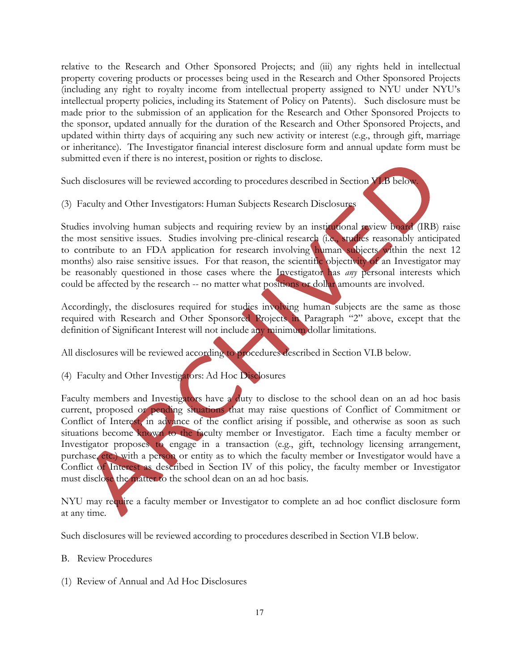relative to the Research and Other Sponsored Projects; and (iii) any rights held in intellectual property covering products or processes being used in the Research and Other Sponsored Projects (including any right to royalty income from intellectual property assigned to NYU under NYU's intellectual property policies, including its Statement of Policy on Patents). Such disclosure must be made prior to the submission of an application for the Research and Other Sponsored Projects to the sponsor, updated annually for the duration of the Research and Other Sponsored Projects, and updated within thirty days of acquiring any such new activity or interest (e.g., through gift, marriage or inheritance). The Investigator financial interest disclosure form and annual update form must be submitted even if there is no interest, position or rights to disclose.

Such disclosures will be reviewed according to procedures described in Section VI.B below.

(3) Faculty and Other Investigators: Human Subjects Research Disclosures

Studies involving human subjects and requiring review by an institutional review board (IRB) raise the most sensitive issues. Studies involving pre-clinical research (i.e., studies reasonably anticipated to contribute to an FDA application for research involving human subjects within the next 12 months) also raise sensitive issues. For that reason, the scientific objectivity of an Investigator may be reasonably questioned in those cases where the Investigator has *any* personal interests which could be affected by the research -- no matter what positions or dollar amounts are involved.

Accordingly, the disclosures required for studies involving human subjects are the same as those required with Research and Other Sponsored Projects in Paragraph "2" above, except that the definition of Significant Interest will not include any minimum dollar limitations.

All disclosures will be reviewed according to procedures described in Section VI.B below.

(4) Faculty and Other Investigators: Ad Hoc Disclosures

Faculty members and Investigators have a duty to disclose to the school dean on an ad hoc basis current, proposed or pending situations that may raise questions of Conflict of Commitment or Conflict of Interest, in advance of the conflict arising if possible, and otherwise as soon as such situations become known to the faculty member or Investigator. Each time a faculty member or Investigator proposes to engage in a transaction (e.g., gift, technology licensing arrangement, purchase, etc.) with a person or entity as to which the faculty member or Investigator would have a Conflict of Interest as described in Section IV of this policy, the faculty member or Investigator must disclose the matter to the school dean on an ad hoc basis.

NYU may require a faculty member or Investigator to complete an ad hoc conflict disclosure form at any time.

Such disclosures will be reviewed according to procedures described in Section VI.B below.

#### B. Review Procedures

(1) Review of Annual and Ad Hoc Disclosures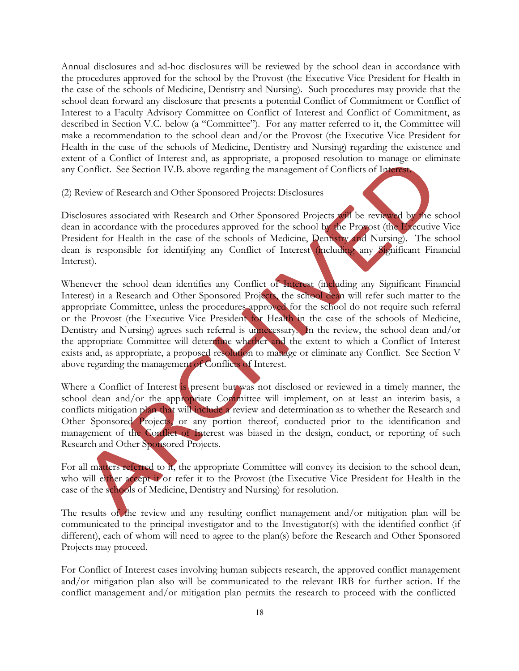Annual disclosures and ad-hoc disclosures will be reviewed by the school dean in accordance with the procedures approved for the school by the Provost (the Executive Vice President for Health in the case of the schools of Medicine, Dentistry and Nursing). Such procedures may provide that the school dean forward any disclosure that presents a potential Conflict of Commitment or Conflict of Interest to a Faculty Advisory Committee on Conflict of Interest and Conflict of Commitment, as described in Section V.C. below (a "Committee"). For any matter referred to it, the Committee will make a recommendation to the school dean and/or the Provost (the Executive Vice President for Health in the case of the schools of Medicine, Dentistry and Nursing) regarding the existence and extent of a Conflict of Interest and, as appropriate, a proposed resolution to manage or eliminate any Conflict. See Section IV.B. above regarding the management of Conflicts of Interest.

(2) Review of Research and Other Sponsored Projects: Disclosures

Disclosures associated with Research and Other Sponsored Projects will be reviewed by the school dean in accordance with the procedures approved for the school by the Provost (the Executive Vice President for Health in the case of the schools of Medicine, Dentistry and Nursing). The school dean is responsible for identifying any Conflict of Interest (including any Significant Financial Interest).

Whenever the school dean identifies any Conflict of Interest (including any Significant Financial Interest) in a Research and Other Sponsored Projects, the school dean will refer such matter to the appropriate Committee, unless the procedures approved for the school do not require such referral or the Provost (the Executive Vice President for Health in the case of the schools of Medicine, Dentistry and Nursing) agrees such referral is unnecessary. In the review, the school dean and/or the appropriate Committee will determine whether and the extent to which a Conflict of Interest exists and, as appropriate, a proposed resolution to manage or eliminate any Conflict. See Section V above regarding the management of Conflicts of Interest.

Where a Conflict of Interest is present but was not disclosed or reviewed in a timely manner, the school dean and/or the appropriate Committee will implement, on at least an interim basis, a conflicts mitigation plan that will include a review and determination as to whether the Research and Other Sponsored Projects, or any portion thereof, conducted prior to the identification and management of the Conflict of Interest was biased in the design, conduct, or reporting of such Research and Other Sponsored Projects.

For all matters referred to it, the appropriate Committee will convey its decision to the school dean, who will either accept it or refer it to the Provost (the Executive Vice President for Health in the case of the schools of Medicine, Dentistry and Nursing) for resolution.

The results of the review and any resulting conflict management and/or mitigation plan will be communicated to the principal investigator and to the Investigator(s) with the identified conflict (if different), each of whom will need to agree to the plan(s) before the Research and Other Sponsored Projects may proceed.

For Conflict of Interest cases involving human subjects research, the approved conflict management and/or mitigation plan also will be communicated to the relevant IRB for further action. If the conflict management and/or mitigation plan permits the research to proceed with the conflicted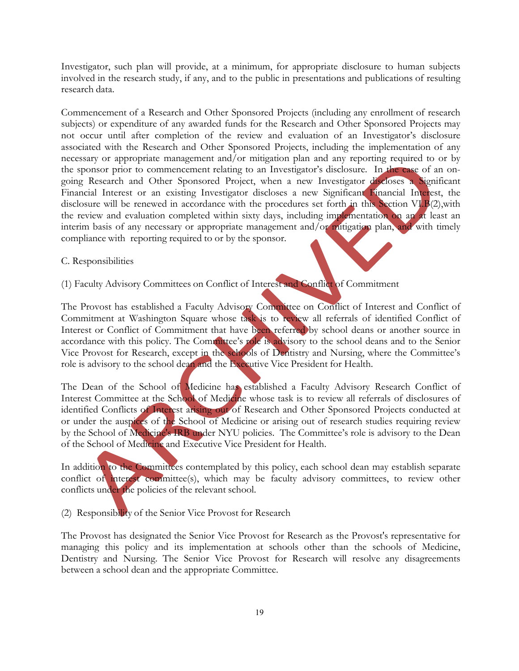Investigator, such plan will provide, at a minimum, for appropriate disclosure to human subjects involved in the research study, if any, and to the public in presentations and publications of resulting research data.

Commencement of a Research and Other Sponsored Projects (including any enrollment of research subjects) or expenditure of any awarded funds for the Research and Other Sponsored Projects may not occur until after completion of the review and evaluation of an Investigator's disclosure associated with the Research and Other Sponsored Projects, including the implementation of any necessary or appropriate management and/or mitigation plan and any reporting required to or by the sponsor prior to commencement relating to an Investigator's disclosure. In the case of an ongoing Research and Other Sponsored Project, when a new Investigator discloses a Significant Financial Interest or an existing Investigator discloses a new Significant Financial Interest, the disclosure will be renewed in accordance with the procedures set forth in this Section VI.B(2), with the review and evaluation completed within sixty days, including implementation on an at least an interim basis of any necessary or appropriate management and/or mitigation plan, and with timely compliance with reporting required to or by the sponsor.

#### C. Responsibilities

(1) Faculty Advisory Committees on Conflict of Interest and Conflict of Commitment

The Provost has established a Faculty Advisory Committee on Conflict of Interest and Conflict of Commitment at Washington Square whose task is to review all referrals of identified Conflict of Interest or Conflict of Commitment that have been referred by school deans or another source in accordance with this policy. The Committee's role is advisory to the school deans and to the Senior Vice Provost for Research, except in the schools of Dentistry and Nursing, where the Committee's role is advisory to the school dean and the Executive Vice President for Health.

The Dean of the School of Medicine has established a Faculty Advisory Research Conflict of Interest Committee at the School of Medicine whose task is to review all referrals of disclosures of identified Conflicts of Interest arising out of Research and Other Sponsored Projects conducted at or under the auspices of the School of Medicine or arising out of research studies requiring review by the School of Medicine's IRB under NYU policies. The Committee's role is advisory to the Dean of the School of Medicine and Executive Vice President for Health.

In addition to the Committees contemplated by this policy, each school dean may establish separate conflict of interest committee(s), which may be faculty advisory committees, to review other conflicts under the policies of the relevant school.

(2) Responsibility of the Senior Vice Provost for Research

The Provost has designated the Senior Vice Provost for Research as the Provost's representative for managing this policy and its implementation at schools other than the schools of Medicine, Dentistry and Nursing. The Senior Vice Provost for Research will resolve any disagreements between a school dean and the appropriate Committee.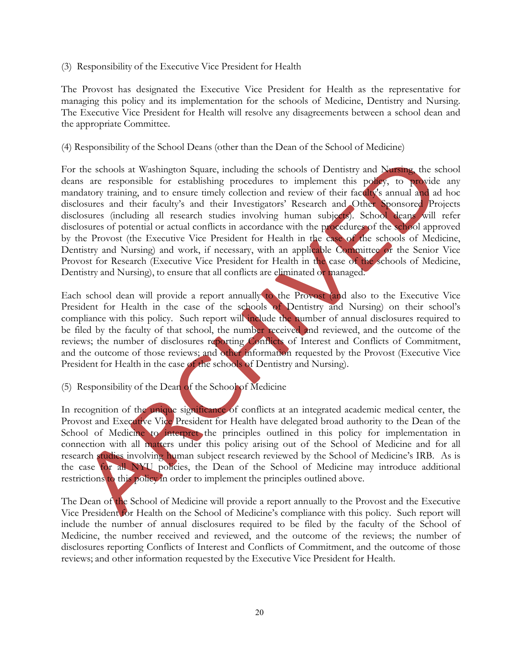(3) Responsibility of the Executive Vice President for Health

The Provost has designated the Executive Vice President for Health as the representative for managing this policy and its implementation for the schools of Medicine, Dentistry and Nursing. The Executive Vice President for Health will resolve any disagreements between a school dean and the appropriate Committee.

#### (4) Responsibility of the School Deans (other than the Dean of the School of Medicine)

For the schools at Washington Square, including the schools of Dentistry and Nursing, the school deans are responsible for establishing procedures to implement this policy, to provide any mandatory training, and to ensure timely collection and review of their faculty's annual and ad hoc disclosures and their faculty's and their Investigators' Research and Other Sponsored Projects disclosures (including all research studies involving human subjects). School deans will refer disclosures of potential or actual conflicts in accordance with the procedures of the school approved by the Provost (the Executive Vice President for Health in the case of the schools of Medicine, Dentistry and Nursing) and work, if necessary, with an applicable Committee or the Senior Vice Provost for Research (Executive Vice President for Health in the case of the schools of Medicine, Dentistry and Nursing), to ensure that all conflicts are eliminated or managed.

Each school dean will provide a report annually to the Provost (and also to the Executive Vice President for Health in the case of the schools of Dentistry and Nursing) on their school's compliance with this policy. Such report will include the number of annual disclosures required to be filed by the faculty of that school, the number received and reviewed, and the outcome of the reviews; the number of disclosures reporting Conflicts of Interest and Conflicts of Commitment, and the outcome of those reviews; and other information requested by the Provost (Executive Vice President for Health in the case of the schools of Dentistry and Nursing).

#### (5) Responsibility of the Dean of the School of Medicine

In recognition of the unique significance of conflicts at an integrated academic medical center, the Provost and Executive Vice President for Health have delegated broad authority to the Dean of the School of Medicine to interpret the principles outlined in this policy for implementation in connection with all matters under this policy arising out of the School of Medicine and for all research studies involving human subject research reviewed by the School of Medicine's IRB. As is the case for all NYU policies, the Dean of the School of Medicine may introduce additional restrictions to this policy in order to implement the principles outlined above.

The Dean of the School of Medicine will provide a report annually to the Provost and the Executive Vice President for Health on the School of Medicine's compliance with this policy. Such report will include the number of annual disclosures required to be filed by the faculty of the School of Medicine, the number received and reviewed, and the outcome of the reviews; the number of disclosures reporting Conflicts of Interest and Conflicts of Commitment, and the outcome of those reviews; and other information requested by the Executive Vice President for Health.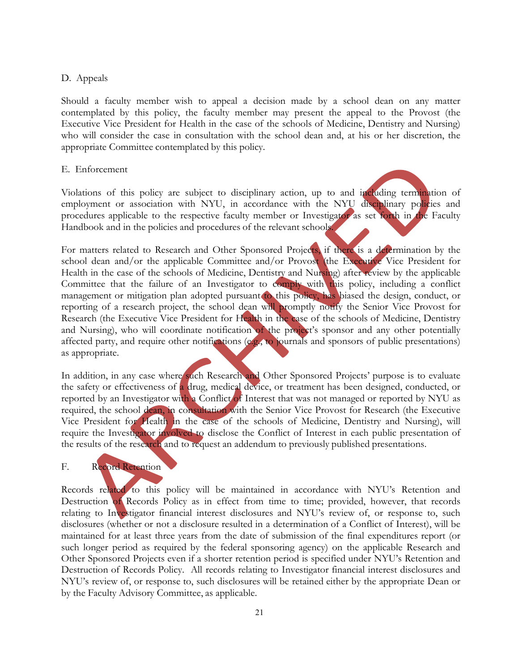#### D. Appeals

Should a faculty member wish to appeal a decision made by a school dean on any matter contemplated by this policy, the faculty member may present the appeal to the Provost (the Executive Vice President for Health in the case of the schools of Medicine, Dentistry and Nursing) who will consider the case in consultation with the school dean and, at his or her discretion, the appropriate Committee contemplated by this policy.

#### E. Enforcement

Violations of this policy are subject to disciplinary action, up to and including termination of employment or association with NYU, in accordance with the NYU disciplinary policies and procedures applicable to the respective faculty member or Investigator as set forth in the Faculty Handbook and in the policies and procedures of the relevant schools.

For matters related to Research and Other Sponsored Projects, if there is a determination by the school dean and/or the applicable Committee and/or Provost (the Executive Vice President for Health in the case of the schools of Medicine, Dentistry and Nursing) after review by the applicable Committee that the failure of an Investigator to comply with this policy, including a conflict management or mitigation plan adopted pursuant to this policy, has biased the design, conduct, or reporting of a research project, the school dean will promptly notify the Senior Vice Provost for Research (the Executive Vice President for Health in the case of the schools of Medicine, Dentistry and Nursing), who will coordinate notification of the project's sponsor and any other potentially affected party, and require other notifications (e.g., to journals and sponsors of public presentations) as appropriate.

In addition, in any case where such Research and Other Sponsored Projects' purpose is to evaluate the safety or effectiveness of a drug, medical device, or treatment has been designed, conducted, or reported by an Investigator with a Conflict of Interest that was not managed or reported by NYU as required, the school dean, in consultation with the Senior Vice Provost for Research (the Executive Vice President for Health in the case of the schools of Medicine, Dentistry and Nursing), will require the Investigator involved to disclose the Conflict of Interest in each public presentation of the results of the research and to request an addendum to previously published presentations.

#### F. Record Retention

Records related to this policy will be maintained in accordance with NYU's Retention and Destruction of Records Policy as in effect from time to time; provided, however, that records relating to Investigator financial interest disclosures and NYU's review of, or response to, such disclosures (whether or not a disclosure resulted in a determination of a Conflict of Interest), will be maintained for at least three years from the date of submission of the final expenditures report (or such longer period as required by the federal sponsoring agency) on the applicable Research and Other Sponsored Projects even if a shorter retention period is specified under NYU's Retention and Destruction of Records Policy. All records relating to Investigator financial interest disclosures and NYU's review of, or response to, such disclosures will be retained either by the appropriate Dean or by the Faculty Advisory Committee, as applicable.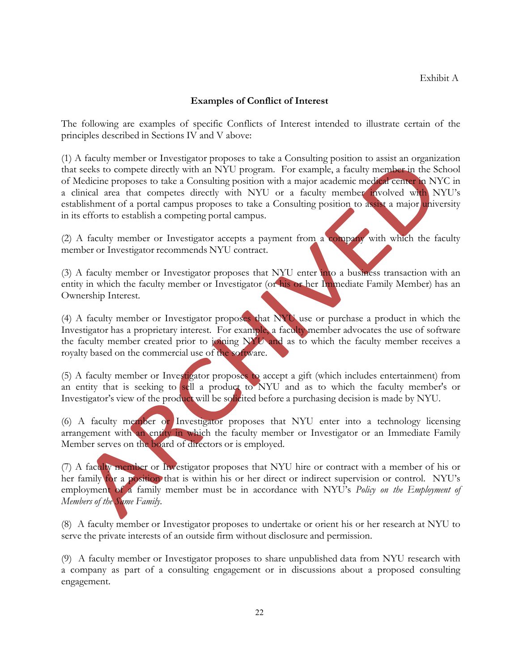#### **Examples of Conflict of Interest**

The following are examples of specific Conflicts of Interest intended to illustrate certain of the principles described in Sections IV and V above:

(1) A faculty member or Investigator proposes to take a Consulting position to assist an organization that seeks to compete directly with an NYU program. For example, a faculty member in the School of Medicine proposes to take a Consulting position with a major academic medical center in NYC in a clinical area that competes directly with NYU or a faculty member involved with NYU's establishment of a portal campus proposes to take a Consulting position to assist a major university in its efforts to establish a competing portal campus.

(2) A faculty member or Investigator accepts a payment from a company with which the faculty member or Investigator recommends NYU contract.

(3) A faculty member or Investigator proposes that NYU enter into a business transaction with an entity in which the faculty member or Investigator (or his or her Immediate Family Member) has an Ownership Interest.

(4) A faculty member or Investigator proposes that NYU use or purchase a product in which the Investigator has a proprietary interest. For example, a faculty member advocates the use of software the faculty member created prior to joining NYU and as to which the faculty member receives a royalty based on the commercial use of the software.

(5) A faculty member or Investigator proposes to accept a gift (which includes entertainment) from an entity that is seeking to sell a product to NYU and as to which the faculty member's or Investigator's view of the product will be solicited before a purchasing decision is made by NYU.

(6) A faculty member or Investigator proposes that NYU enter into a technology licensing arrangement with an entity in which the faculty member or Investigator or an Immediate Family Member serves on the board of directors or is employed.

(7) A faculty member or Investigator proposes that NYU hire or contract with a member of his or her family for a position that is within his or her direct or indirect supervision or control. NYU's employment of a family member must be in accordance with NYU's *Policy on the Employment of Members of the Same Family*.

(8) A faculty member or Investigator proposes to undertake or orient his or her research at NYU to serve the private interests of an outside firm without disclosure and permission.

(9) A faculty member or Investigator proposes to share unpublished data from NYU research with a company as part of a consulting engagement or in discussions about a proposed consulting engagement.